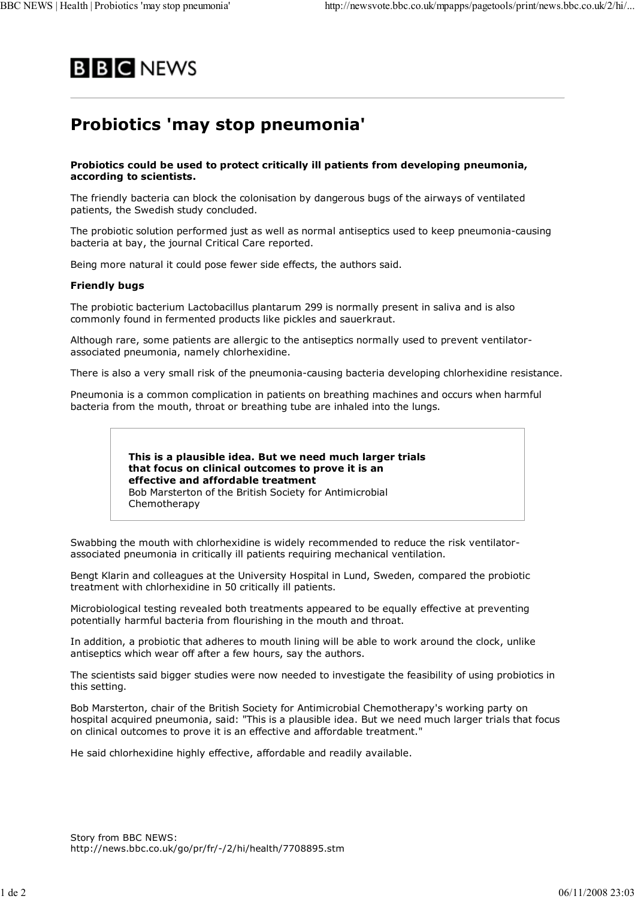

## **Probiotics 'may stop pneumonia'**

## **Probiotics could be used to protect critically ill patients from developing pneumonia, according to scientists.**

The friendly bacteria can block the colonisation by dangerous bugs of the airways of ventilated patients, the Swedish study concluded.

The probiotic solution performed just as well as normal antiseptics used to keep pneumonia-causing bacteria at bay, the journal Critical Care reported.

Being more natural it could pose fewer side effects, the authors said.

## **Friendly bugs**

The probiotic bacterium Lactobacillus plantarum 299 is normally present in saliva and is also commonly found in fermented products like pickles and sauerkraut.

Although rare, some patients are allergic to the antiseptics normally used to prevent ventilatorassociated pneumonia, namely chlorhexidine.

There is also a very small risk of the pneumonia-causing bacteria developing chlorhexidine resistance.

Pneumonia is a common complication in patients on breathing machines and occurs when harmful bacteria from the mouth, throat or breathing tube are inhaled into the lungs.

> **This is a plausible idea. But we need much larger trials that focus on clinical outcomes to prove it is an effective and affordable treatment** Bob Marsterton of the British Society for Antimicrobial Chemotherapy

Swabbing the mouth with chlorhexidine is widely recommended to reduce the risk ventilatorassociated pneumonia in critically ill patients requiring mechanical ventilation.

Bengt Klarin and colleagues at the University Hospital in Lund, Sweden, compared the probiotic treatment with chlorhexidine in 50 critically ill patients.

Microbiological testing revealed both treatments appeared to be equally effective at preventing potentially harmful bacteria from flourishing in the mouth and throat.

In addition, a probiotic that adheres to mouth lining will be able to work around the clock, unlike antiseptics which wear off after a few hours, say the authors.

The scientists said bigger studies were now needed to investigate the feasibility of using probiotics in this setting.

Bob Marsterton, chair of the British Society for Antimicrobial Chemotherapy's working party on hospital acquired pneumonia, said: "This is a plausible idea. But we need much larger trials that focus on clinical outcomes to prove it is an effective and affordable treatment."

He said chlorhexidine highly effective, affordable and readily available.